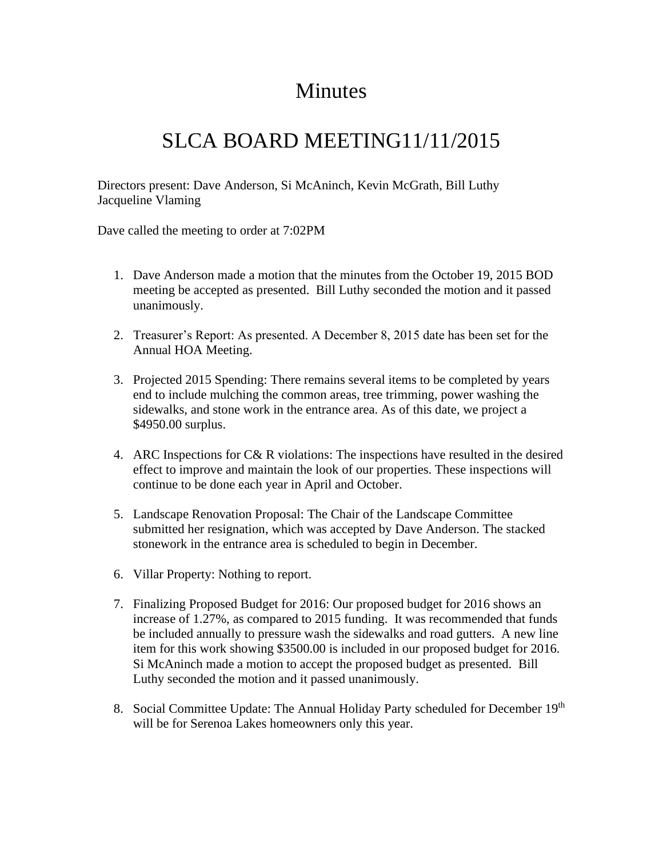## Minutes

## SLCA BOARD MEETING11/11/2015

Directors present: Dave Anderson, Si McAninch, Kevin McGrath, Bill Luthy Jacqueline Vlaming

Dave called the meeting to order at 7:02PM

- 1. Dave Anderson made a motion that the minutes from the October 19, 2015 BOD meeting be accepted as presented. Bill Luthy seconded the motion and it passed unanimously.
- 2. Treasurer's Report: As presented. A December 8, 2015 date has been set for the Annual HOA Meeting.
- 3. Projected 2015 Spending: There remains several items to be completed by years end to include mulching the common areas, tree trimming, power washing the sidewalks, and stone work in the entrance area. As of this date, we project a \$4950.00 surplus.
- 4. ARC Inspections for C& R violations: The inspections have resulted in the desired effect to improve and maintain the look of our properties. These inspections will continue to be done each year in April and October.
- 5. Landscape Renovation Proposal: The Chair of the Landscape Committee submitted her resignation, which was accepted by Dave Anderson. The stacked stonework in the entrance area is scheduled to begin in December.
- 6. Villar Property: Nothing to report.
- 7. Finalizing Proposed Budget for 2016: Our proposed budget for 2016 shows an increase of 1.27%, as compared to 2015 funding. It was recommended that funds be included annually to pressure wash the sidewalks and road gutters. A new line item for this work showing \$3500.00 is included in our proposed budget for 2016. Si McAninch made a motion to accept the proposed budget as presented. Bill Luthy seconded the motion and it passed unanimously.
- 8. Social Committee Update: The Annual Holiday Party scheduled for December 19<sup>th</sup> will be for Serenoa Lakes homeowners only this year.